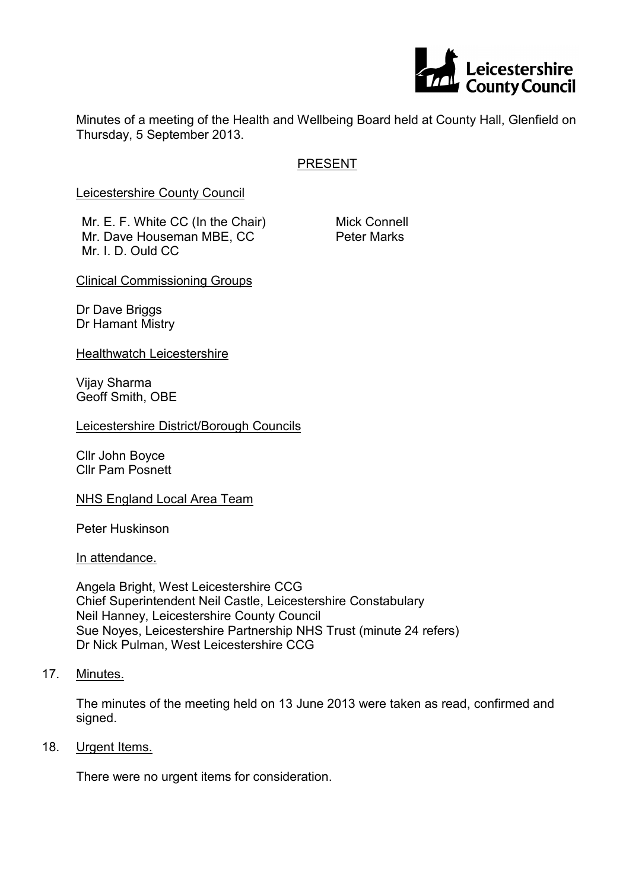

Minutes of a meeting of the Health and Wellbeing Board held at County Hall, Glenfield on Thursday, 5 September 2013.

# PRESENT

Leicestershire County Council

Mr. E. F. White CC (In the Chair) Mr. Dave Houseman MBE, CC Mr. I. D. Ould CC

Mick Connell Peter Marks

Clinical Commissioning Groups

Dr Dave Briggs Dr Hamant Mistry

Healthwatch Leicestershire

Vijay Sharma Geoff Smith, OBE

Leicestershire District/Borough Councils

Cllr John Boyce Cllr Pam Posnett

NHS England Local Area Team

Peter Huskinson

In attendance.

Angela Bright, West Leicestershire CCG Chief Superintendent Neil Castle, Leicestershire Constabulary Neil Hanney, Leicestershire County Council Sue Noyes, Leicestershire Partnership NHS Trust (minute 24 refers) Dr Nick Pulman, West Leicestershire CCG

17. Minutes.

The minutes of the meeting held on 13 June 2013 were taken as read, confirmed and signed.

18. Urgent Items.

There were no urgent items for consideration.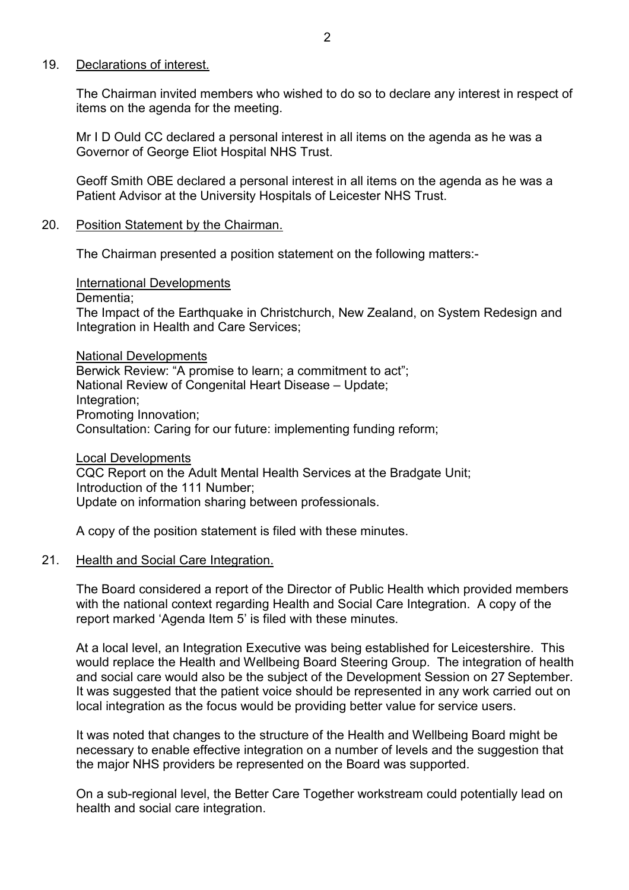### 19. Declarations of interest.

The Chairman invited members who wished to do so to declare any interest in respect of items on the agenda for the meeting.

Mr I D Ould CC declared a personal interest in all items on the agenda as he was a Governor of George Eliot Hospital NHS Trust.

Geoff Smith OBE declared a personal interest in all items on the agenda as he was a Patient Advisor at the University Hospitals of Leicester NHS Trust.

#### 20. Position Statement by the Chairman.

The Chairman presented a position statement on the following matters:-

International Developments

Dementia;

The Impact of the Earthquake in Christchurch, New Zealand, on System Redesign and Integration in Health and Care Services;

National Developments Berwick Review: "A promise to learn; a commitment to act"; National Review of Congenital Heart Disease – Update; Integration; Promoting Innovation; Consultation: Caring for our future: implementing funding reform;

Local Developments CQC Report on the Adult Mental Health Services at the Bradgate Unit; Introduction of the 111 Number; Update on information sharing between professionals.

A copy of the position statement is filed with these minutes.

#### 21. Health and Social Care Integration.

The Board considered a report of the Director of Public Health which provided members with the national context regarding Health and Social Care Integration. A copy of the report marked 'Agenda Item 5' is filed with these minutes.

At a local level, an Integration Executive was being established for Leicestershire. This would replace the Health and Wellbeing Board Steering Group. The integration of health and social care would also be the subject of the Development Session on 27 September. It was suggested that the patient voice should be represented in any work carried out on local integration as the focus would be providing better value for service users.

It was noted that changes to the structure of the Health and Wellbeing Board might be necessary to enable effective integration on a number of levels and the suggestion that the major NHS providers be represented on the Board was supported.

On a sub-regional level, the Better Care Together workstream could potentially lead on health and social care integration.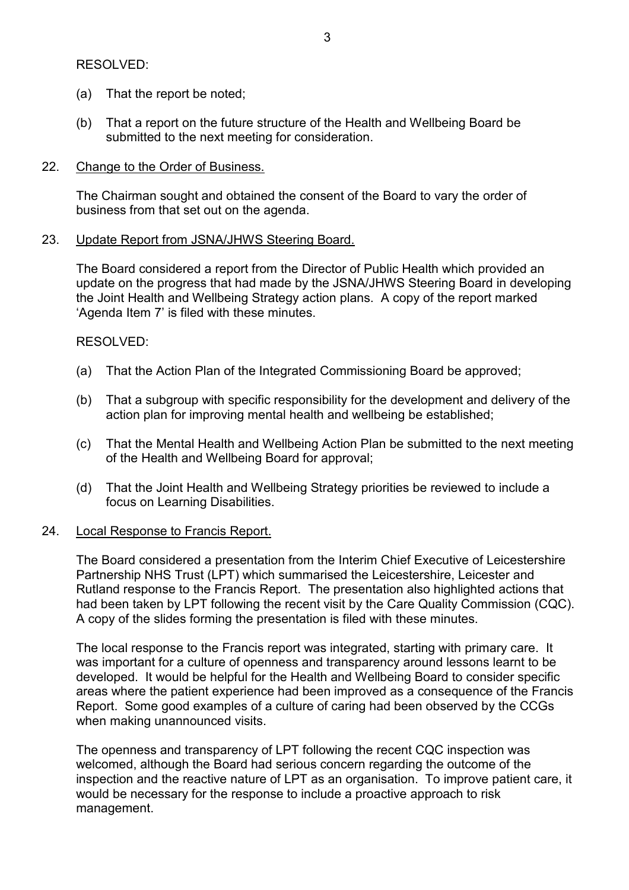## RESOLVED:

- (a) That the report be noted;
- (b) That a report on the future structure of the Health and Wellbeing Board be submitted to the next meeting for consideration.

## 22. Change to the Order of Business.

The Chairman sought and obtained the consent of the Board to vary the order of business from that set out on the agenda.

### 23. Update Report from JSNA/JHWS Steering Board.

The Board considered a report from the Director of Public Health which provided an update on the progress that had made by the JSNA/JHWS Steering Board in developing the Joint Health and Wellbeing Strategy action plans. A copy of the report marked 'Agenda Item 7' is filed with these minutes.

## RESOLVED:

- (a) That the Action Plan of the Integrated Commissioning Board be approved;
- (b) That a subgroup with specific responsibility for the development and delivery of the action plan for improving mental health and wellbeing be established;
- (c) That the Mental Health and Wellbeing Action Plan be submitted to the next meeting of the Health and Wellbeing Board for approval;
- (d) That the Joint Health and Wellbeing Strategy priorities be reviewed to include a focus on Learning Disabilities.

## 24. Local Response to Francis Report.

The Board considered a presentation from the Interim Chief Executive of Leicestershire Partnership NHS Trust (LPT) which summarised the Leicestershire, Leicester and Rutland response to the Francis Report. The presentation also highlighted actions that had been taken by LPT following the recent visit by the Care Quality Commission (CQC). A copy of the slides forming the presentation is filed with these minutes.

The local response to the Francis report was integrated, starting with primary care. It was important for a culture of openness and transparency around lessons learnt to be developed. It would be helpful for the Health and Wellbeing Board to consider specific areas where the patient experience had been improved as a consequence of the Francis Report. Some good examples of a culture of caring had been observed by the CCGs when making unannounced visits.

The openness and transparency of LPT following the recent CQC inspection was welcomed, although the Board had serious concern regarding the outcome of the inspection and the reactive nature of LPT as an organisation. To improve patient care, it would be necessary for the response to include a proactive approach to risk management.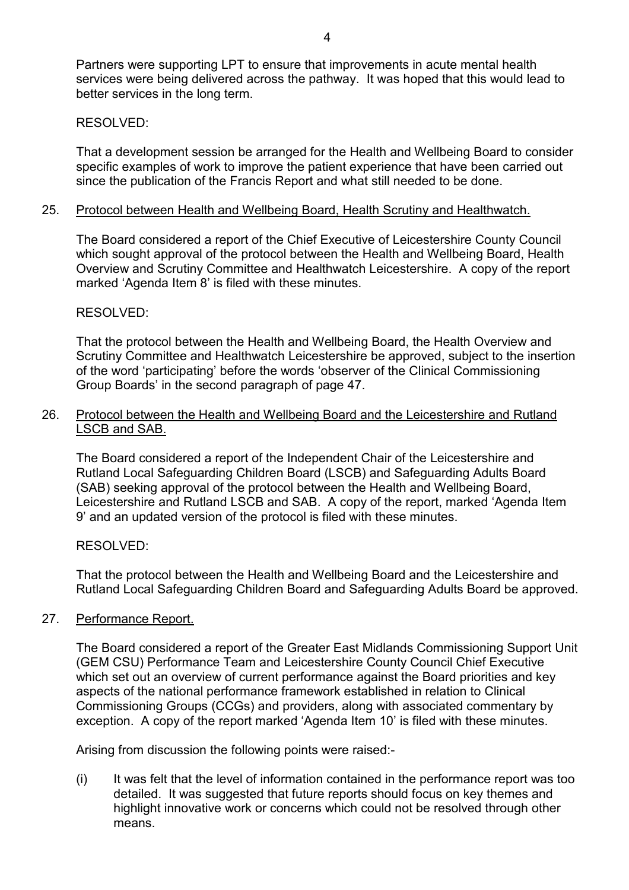Partners were supporting LPT to ensure that improvements in acute mental health services were being delivered across the pathway. It was hoped that this would lead to better services in the long term.

#### RESOLVED:

That a development session be arranged for the Health and Wellbeing Board to consider specific examples of work to improve the patient experience that have been carried out since the publication of the Francis Report and what still needed to be done.

#### 25. Protocol between Health and Wellbeing Board, Health Scrutiny and Healthwatch.

The Board considered a report of the Chief Executive of Leicestershire County Council which sought approval of the protocol between the Health and Wellbeing Board, Health Overview and Scrutiny Committee and Healthwatch Leicestershire. A copy of the report marked 'Agenda Item 8' is filed with these minutes.

### RESOLVED:

That the protocol between the Health and Wellbeing Board, the Health Overview and Scrutiny Committee and Healthwatch Leicestershire be approved, subject to the insertion of the word 'participating' before the words 'observer of the Clinical Commissioning Group Boards' in the second paragraph of page 47.

### 26. Protocol between the Health and Wellbeing Board and the Leicestershire and Rutland LSCB and SAB.

The Board considered a report of the Independent Chair of the Leicestershire and Rutland Local Safeguarding Children Board (LSCB) and Safeguarding Adults Board (SAB) seeking approval of the protocol between the Health and Wellbeing Board, Leicestershire and Rutland LSCB and SAB. A copy of the report, marked 'Agenda Item 9' and an updated version of the protocol is filed with these minutes.

## RESOLVED:

That the protocol between the Health and Wellbeing Board and the Leicestershire and Rutland Local Safeguarding Children Board and Safeguarding Adults Board be approved.

## 27. Performance Report.

The Board considered a report of the Greater East Midlands Commissioning Support Unit (GEM CSU) Performance Team and Leicestershire County Council Chief Executive which set out an overview of current performance against the Board priorities and key aspects of the national performance framework established in relation to Clinical Commissioning Groups (CCGs) and providers, along with associated commentary by exception. A copy of the report marked 'Agenda Item 10' is filed with these minutes.

Arising from discussion the following points were raised:-

(i) It was felt that the level of information contained in the performance report was too detailed. It was suggested that future reports should focus on key themes and highlight innovative work or concerns which could not be resolved through other means.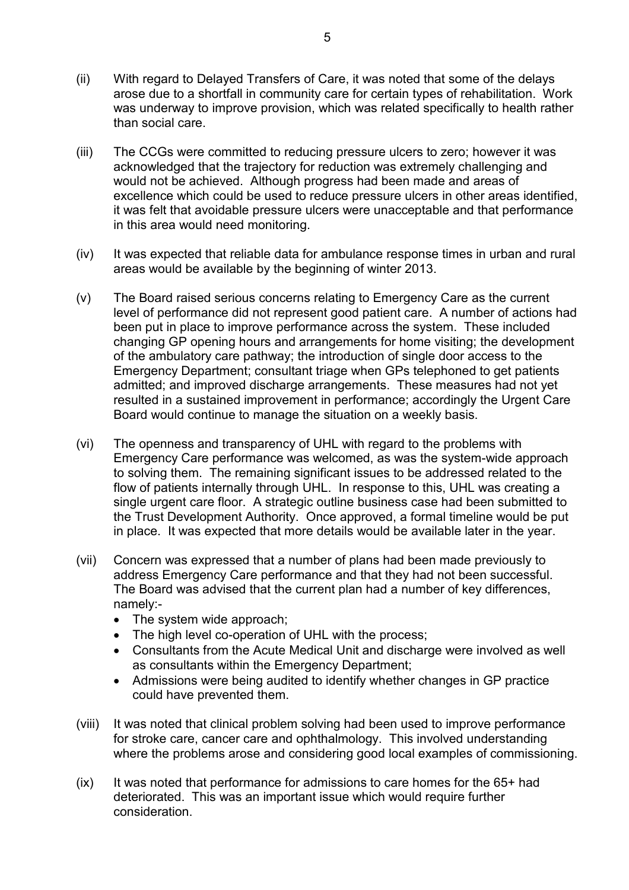- (ii) With regard to Delayed Transfers of Care, it was noted that some of the delays arose due to a shortfall in community care for certain types of rehabilitation. Work was underway to improve provision, which was related specifically to health rather than social care.
- (iii) The CCGs were committed to reducing pressure ulcers to zero; however it was acknowledged that the trajectory for reduction was extremely challenging and would not be achieved. Although progress had been made and areas of excellence which could be used to reduce pressure ulcers in other areas identified, it was felt that avoidable pressure ulcers were unacceptable and that performance in this area would need monitoring.
- (iv) It was expected that reliable data for ambulance response times in urban and rural areas would be available by the beginning of winter 2013.
- (v) The Board raised serious concerns relating to Emergency Care as the current level of performance did not represent good patient care. A number of actions had been put in place to improve performance across the system. These included changing GP opening hours and arrangements for home visiting; the development of the ambulatory care pathway; the introduction of single door access to the Emergency Department; consultant triage when GPs telephoned to get patients admitted; and improved discharge arrangements. These measures had not yet resulted in a sustained improvement in performance; accordingly the Urgent Care Board would continue to manage the situation on a weekly basis.
- (vi) The openness and transparency of UHL with regard to the problems with Emergency Care performance was welcomed, as was the system-wide approach to solving them. The remaining significant issues to be addressed related to the flow of patients internally through UHL. In response to this, UHL was creating a single urgent care floor. A strategic outline business case had been submitted to the Trust Development Authority. Once approved, a formal timeline would be put in place. It was expected that more details would be available later in the year.
- (vii) Concern was expressed that a number of plans had been made previously to address Emergency Care performance and that they had not been successful. The Board was advised that the current plan had a number of key differences, namely:-
	- The system wide approach;
	- The high level co-operation of UHL with the process;
	- Consultants from the Acute Medical Unit and discharge were involved as well as consultants within the Emergency Department;
	- Admissions were being audited to identify whether changes in GP practice could have prevented them.
- (viii) It was noted that clinical problem solving had been used to improve performance for stroke care, cancer care and ophthalmology. This involved understanding where the problems arose and considering good local examples of commissioning.
- $(ix)$  It was noted that performance for admissions to care homes for the  $65+$  had deteriorated. This was an important issue which would require further consideration.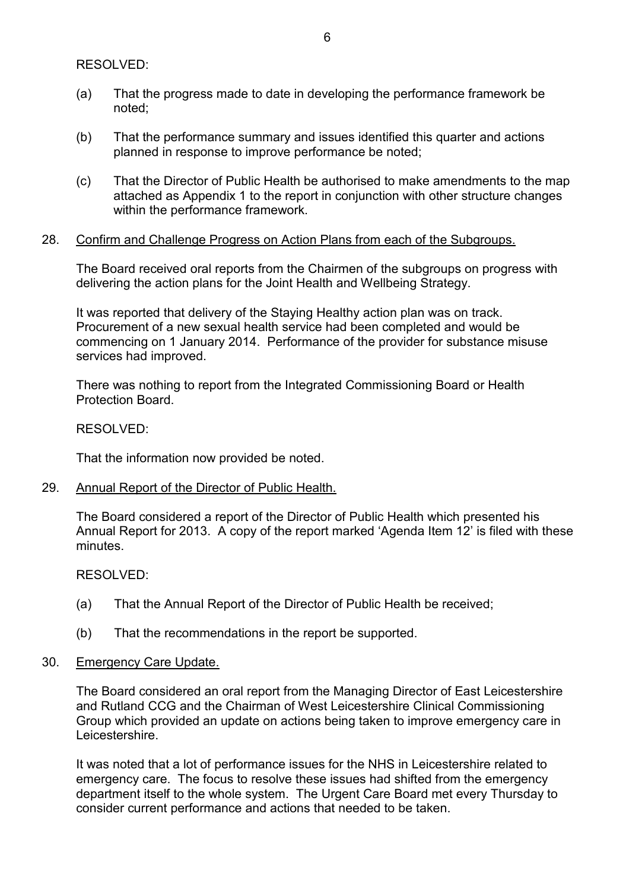RESOLVED:

- (a) That the progress made to date in developing the performance framework be noted;
- (b) That the performance summary and issues identified this quarter and actions planned in response to improve performance be noted;
- (c) That the Director of Public Health be authorised to make amendments to the map attached as Appendix 1 to the report in conjunction with other structure changes within the performance framework.

### 28. Confirm and Challenge Progress on Action Plans from each of the Subgroups.

The Board received oral reports from the Chairmen of the subgroups on progress with delivering the action plans for the Joint Health and Wellbeing Strategy.

It was reported that delivery of the Staying Healthy action plan was on track. Procurement of a new sexual health service had been completed and would be commencing on 1 January 2014. Performance of the provider for substance misuse services had improved.

There was nothing to report from the Integrated Commissioning Board or Health Protection Board.

RESOLVED:

That the information now provided be noted.

29. Annual Report of the Director of Public Health.

The Board considered a report of the Director of Public Health which presented his Annual Report for 2013. A copy of the report marked 'Agenda Item 12' is filed with these minutes.

RESOLVED:

- (a) That the Annual Report of the Director of Public Health be received;
- (b) That the recommendations in the report be supported.
- 30. Emergency Care Update.

The Board considered an oral report from the Managing Director of East Leicestershire and Rutland CCG and the Chairman of West Leicestershire Clinical Commissioning Group which provided an update on actions being taken to improve emergency care in Leicestershire.

It was noted that a lot of performance issues for the NHS in Leicestershire related to emergency care. The focus to resolve these issues had shifted from the emergency department itself to the whole system. The Urgent Care Board met every Thursday to consider current performance and actions that needed to be taken.